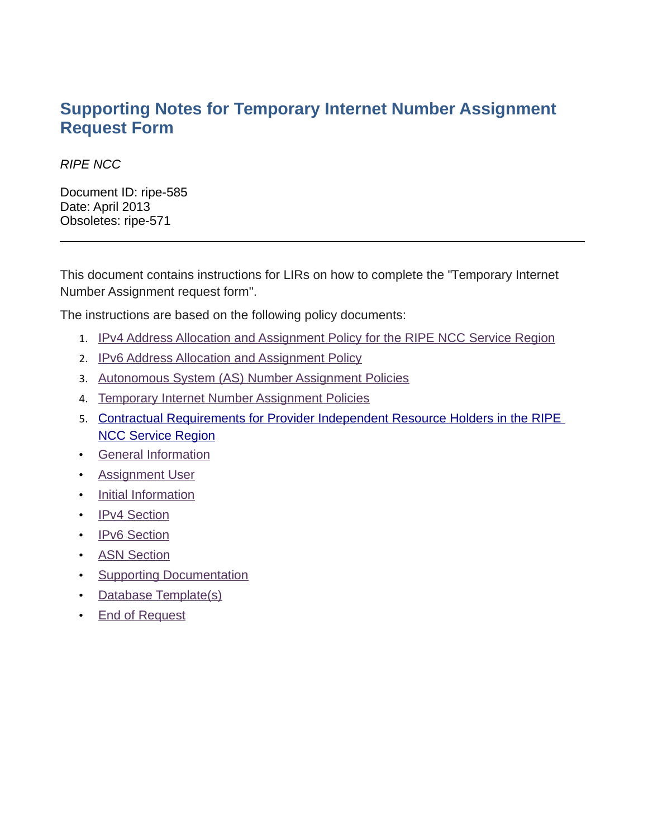### **Supporting Notes for Temporary Internet Number Assignment Request Form**

### RIPE NCC

Document ID: ripe-585 Date: April 2013 Obsoletes: ripe-571

This document contains instructions for LIRs on how to complete the "Temporary Internet Number Assignment request form".

The instructions are based on the following policy documents:

- 1. [IPv4 Address Allocation and Assignment Policy for the RIPE NCC Service Region](http://www.ripe.net/ripe/docs/ipv4-policies.html)
- 2. [IPv6 Address Allocation and Assignment Policy](http://www.ripe.net/ripe/docs/ipv6-policies)
- 3. [Autonomous System \(AS\) Number Assignment Policies](http://www.ripe.net/ripe/docs/asn-assignment)
- 4. [Temporary Internet Number Assignment Policies](http://www.ripe.net/ripe/docs/temporary-assignment)
- 5. [Contractual Requirements for Provider Independent Resource Holders in the RIPE](http://www.ripe.net/ripe/docs/contract-req)   [NCC Service Region](http://www.ripe.net/ripe/docs/contract-req)
- <span id="page-0-8"></span>• [General Information](#page-0-8)
- <span id="page-0-7"></span>• [Assignment User](#page-0-7)
- <span id="page-0-6"></span>• [Initial Information](#page-0-6)
- <span id="page-0-5"></span>• [IPv4 Section](#page-0-5)
- <span id="page-0-4"></span>• [IPv6 Section](#page-0-4)
- <span id="page-0-3"></span>• [ASN Section](#page-0-3)
- <span id="page-0-2"></span>• [Supporting Documentation](#page-0-2)
- <span id="page-0-1"></span>• [Database Template\(s\)](#page-0-1)
- <span id="page-0-0"></span>• [End of Request](#page-0-0)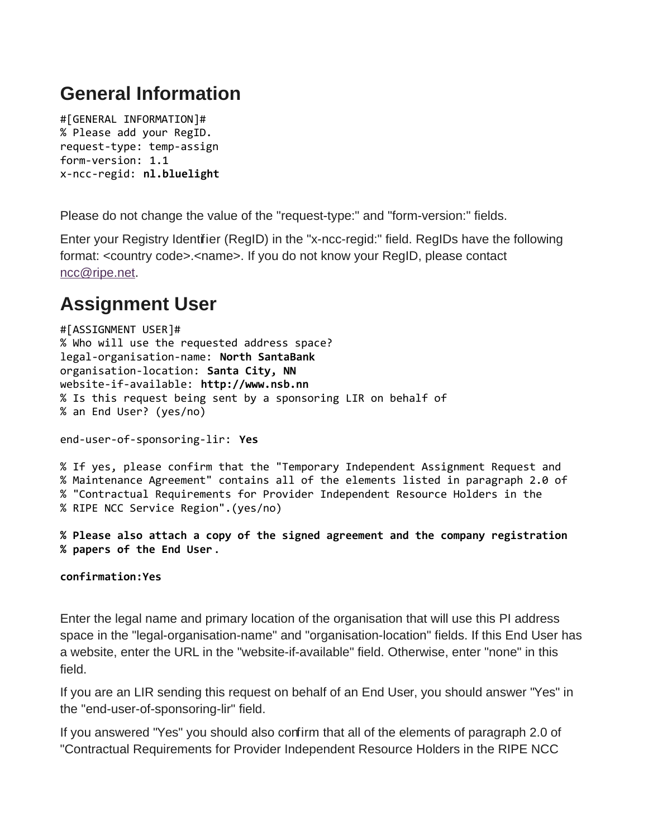# **General Information**

#[GENERAL INFORMATION]# % Please add your RegID. request-type: temp-assign form-version: 1.1 x-ncc-regid: **nl.bluelight**

Please do not change the value of the "request-type:" and "form-version:" fields.

Enter your Registry Identifier (RegID) in the "x-ncc-regid:" field. RegIDs have the following format: <country code>.<name>. If you do not know your RegID, please contact [ncc@ripe.net.](mailto:ncc@ripe.net)

# **Assignment User**

```
#[ASSIGNMENT USER]#
% Who will use the requested address space?
legal-organisation-name: North SantaBank
organisation-location: Santa City, NN
website-if-available: http://www.nsb.nn
% Is this request being sent by a sponsoring LIR on behalf of 
% an End User? (yes/no)
```
end-user-of-sponsoring-lir: **Yes**

% If yes, please confirm that the "Temporary Independent Assignment Request and % Maintenance Agreement" contains all of the elements listed in paragraph 2.0 of % "Contractual Requirements for Provider Independent Resource Holders in the % RIPE NCC Service Region".(yes/no)

**% Please also attach a copy of the signed agreement and the company registration % papers of the End User**.

**confirmation:Yes**

Enter the legal name and primary location of the organisation that will use this PI address space in the "legal-organisation-name" and "organisation-location" fields. If this End User has a website, enter the URL in the "website-if-available" field. Otherwise, enter "none" in this field.

If you are an LIR sending this request on behalf of an End User, you should answer "Yes" in the "end-user-of-sponsoring-lir" field.

If you answered "Yes" you should also confirm that all of the elements of paragraph 2.0 of "Contractual Requirements for Provider Independent Resource Holders in the RIPE NCC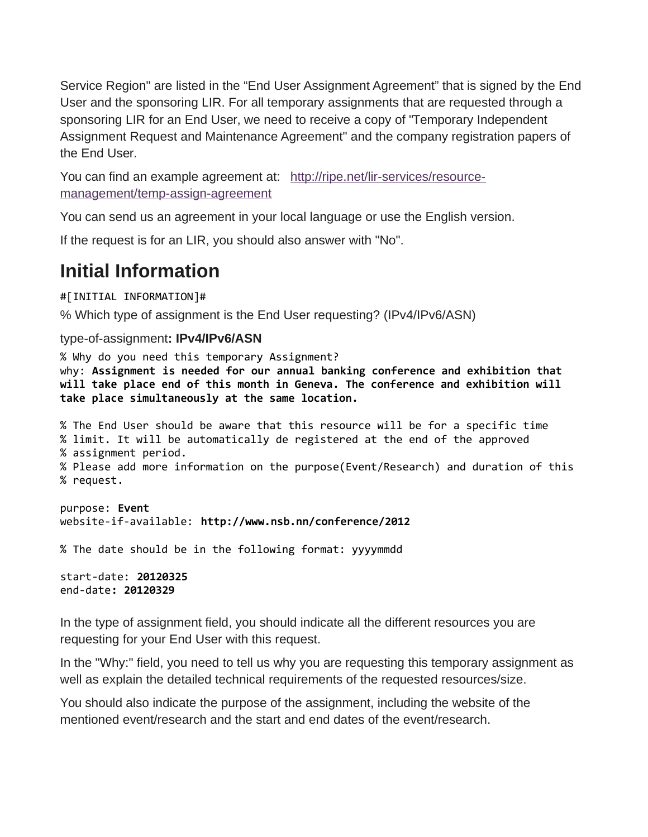Service Region" are listed in the "End User Assignment Agreement" that is signed by the End User and the sponsoring LIR. For all temporary assignments that are requested through a sponsoring LIR for an End User, we need to receive a copy of "Temporary Independent Assignment Request and Maintenance Agreement" and the company registration papers of the End User.

You can find an example agreement at: [http://ripe.net/lir-services/resource](http://ripe.net/lir-services/resource-management/temp-assign-agreement)[management/temp-assign-agreement](http://ripe.net/lir-services/resource-management/temp-assign-agreement)

You can send us an agreement in your local language or use the English version.

If the request is for an LIR, you should also answer with "No".

### **Initial Information**

#[INITIAL INFORMATION]#

% Which type of assignment is the End User requesting? (IPv4/IPv6/ASN)

### type-of-assignment**: IPv4/IPv6/ASN**

% Why do you need this temporary Assignment? why: **Assignment is needed for our annual banking conference and exhibition that will take place end of this month in Geneva. The conference and exhibition will take place simultaneously at the same location.**

% The End User should be aware that this resource will be for a specific time % limit. It will be automatically de registered at the end of the approved % assignment period. % Please add more information on the purpose(Event/Research) and duration of this % request.

purpose: **Event** website-if-available: **http://www.nsb.nn/conference/2012**

% The date should be in the following format: yyyymmdd

start-date: **20120325** end-date**: 20120329**

In the type of assignment field, you should indicate all the different resources you are requesting for your End User with this request.

In the "Why:" field, you need to tell us why you are requesting this temporary assignment as well as explain the detailed technical requirements of the requested resources/size.

You should also indicate the purpose of the assignment, including the website of the mentioned event/research and the start and end dates of the event/research.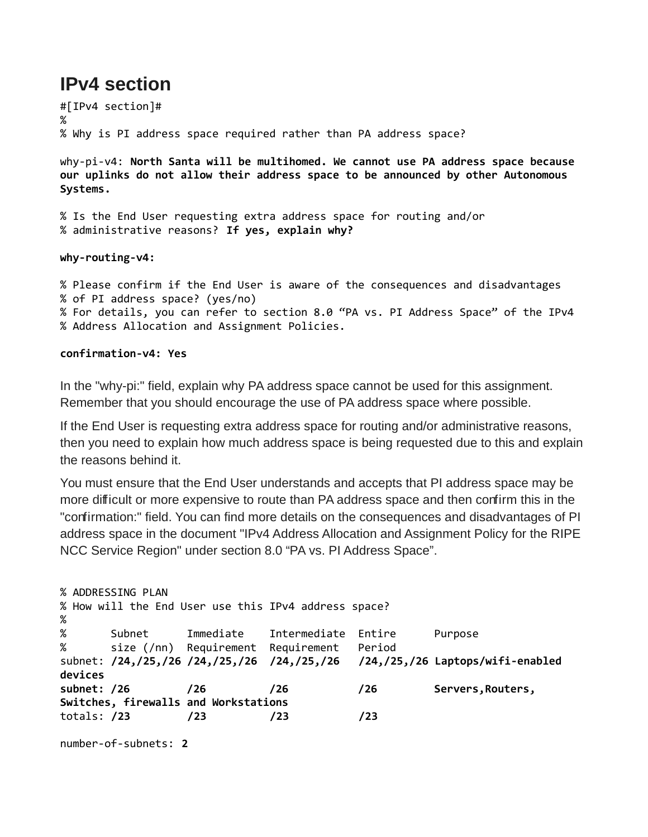### **IPv4 section**

#[IPv4 section]# % % Why is PI address space required rather than PA address space?

why-pi-v4: **North Santa will be multihomed. We cannot use PA address space because our uplinks do not allow their address space to be announced by other Autonomous Systems.**

% Is the End User requesting extra address space for routing and/or % administrative reasons? **If yes, explain why?**

**why-routing-v4:**

% Please confirm if the End User is aware of the consequences and disadvantages % of PI address space? (yes/no) % For details, you can refer to section 8.0 "PA vs. PI Address Space" of the IPv4 % Address Allocation and Assignment Policies.

#### **confirmation-v4: Yes**

In the "why-pi:" field, explain why PA address space cannot be used for this assignment. Remember that you should encourage the use of PA address space where possible.

If the End User is requesting extra address space for routing and/or administrative reasons, then you need to explain how much address space is being requested due to this and explain the reasons behind it.

You must ensure that the End User understands and accepts that PI address space may be more difficult or more expensive to route than PA address space and then confirm this in the "confirmation:" field. You can find more details on the consequences and disadvantages of PI address space in the document "IPv4 Address Allocation and Assignment Policy for the RIPE NCC Service Region" under section 8.0 "PA vs. PI Address Space".

```
% ADDRESSING PLAN
% How will the End User use this IPv4 address space?
% 
% Subnet Immediate Intermediate Entire Purpose
% size (/nn) Requirement Requirement Period
subnet: /24,/25,/26 /24,/25,/26 /24,/25,/26 /24,/25,/26 Laptops/wifi-enabled 
devices
subnet: /26 /26 /26 /26 Servers,Routers, 
Switches, firewalls and Workstations
totals: /23 /23 /23 /23
```

```
number-of-subnets: 2
```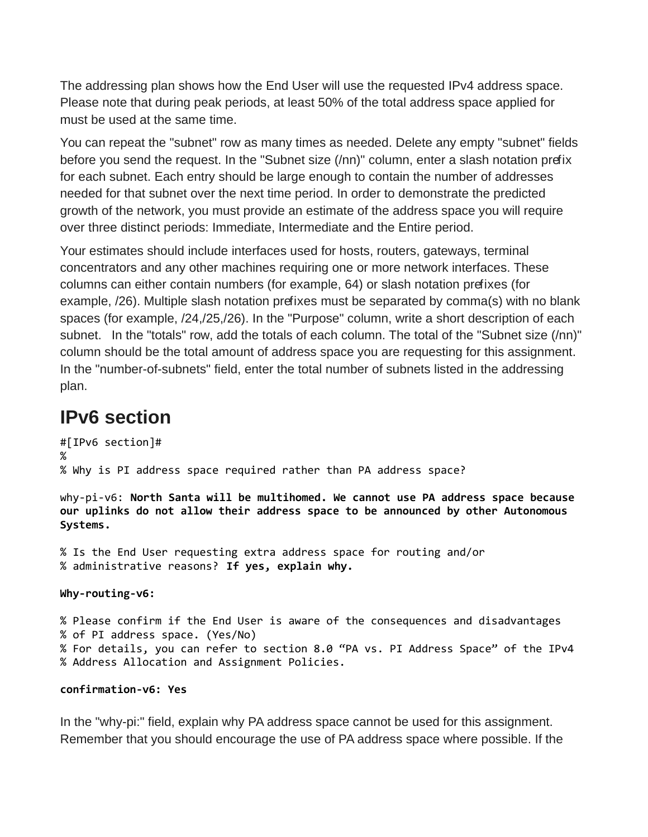The addressing plan shows how the End User will use the requested IPv4 address space. Please note that during peak periods, at least 50% of the total address space applied for must be used at the same time.

You can repeat the "subnet" row as many times as needed. Delete any empty "subnet" fields before you send the request. In the "Subnet size (/nn)" column, enter a slash notation prefix for each subnet. Each entry should be large enough to contain the number of addresses needed for that subnet over the next time period. In order to demonstrate the predicted growth of the network, you must provide an estimate of the address space you will require over three distinct periods: Immediate, Intermediate and the Entire period.

Your estimates should include interfaces used for hosts, routers, gateways, terminal concentrators and any other machines requiring one or more network interfaces. These columns can either contain numbers (for example, 64) or slash notation prefixes (for example,  $/26$ ). Multiple slash notation prefixes must be separated by comma(s) with no blank spaces (for example, /24,/25,/26). In the "Purpose" column, write a short description of each subnet. In the "totals" row, add the totals of each column. The total of the "Subnet size (/nn)" column should be the total amount of address space you are requesting for this assignment. In the "number-of-subnets" field, enter the total number of subnets listed in the addressing plan.

### **IPv6 section**

```
#[IPv6 section]#
%
% Why is PI address space required rather than PA address space? 
why-pi-v6: North Santa will be multihomed. We cannot use PA address space because 
our uplinks do not allow their address space to be announced by other Autonomous 
Systems.
% Is the End User requesting extra address space for routing and/or 
% administrative reasons? If yes, explain why.
Why-routing-v6:
% Please confirm if the End User is aware of the consequences and disadvantages 
% of PI address space. (Yes/No)
% For details, you can refer to section 8.0 "PA vs. PI Address Space" of the IPv4
% Address Allocation and Assignment Policies.
```
### **confirmation-v6: Yes**

In the "why-pi:" field, explain why PA address space cannot be used for this assignment. Remember that you should encourage the use of PA address space where possible. If the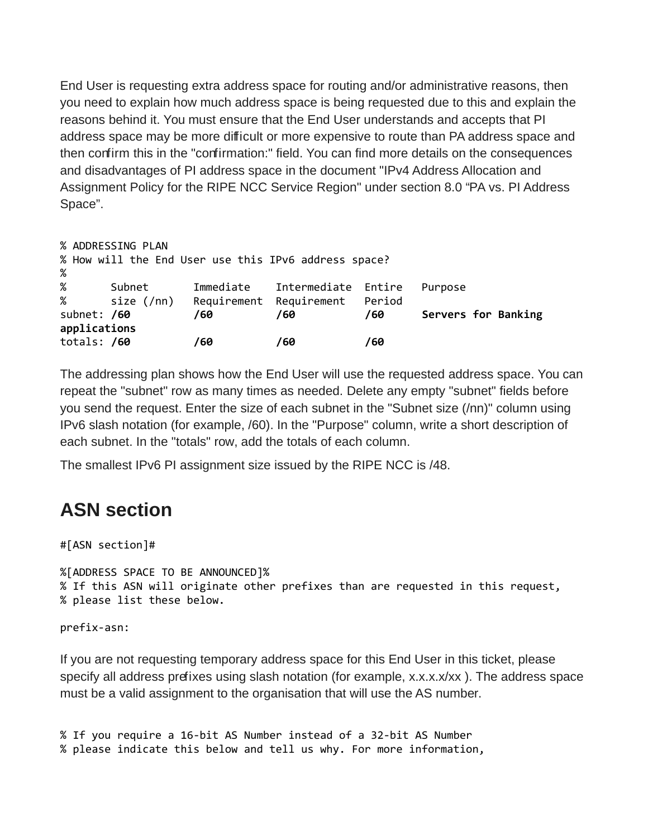End User is requesting extra address space for routing and/or administrative reasons, then you need to explain how much address space is being requested due to this and explain the reasons behind it. You must ensure that the End User understands and accepts that PI address space may be more difficult or more expensive to route than PA address space and then confirm this in the "confirmation:" field. You can find more details on the consequences and disadvantages of PI address space in the document "IPv4 Address Allocation and Assignment Policy for the RIPE NCC Service Region" under section 8.0 "PA vs. PI Address Space".

```
% ADDRESSING PLAN
% How will the End User use this IPv6 address space?
% 
% Subnet Immediate Intermediate Entire Purpose
% size (/nn) Requirement Requirement Period
subnet: /60 /60 /60 /60 Servers for Banking 
applications 
totals: /60 /60 /60 /60
```
The addressing plan shows how the End User will use the requested address space. You can repeat the "subnet" row as many times as needed. Delete any empty "subnet" fields before you send the request. Enter the size of each subnet in the "Subnet size (/nn)" column using IPv6 slash notation (for example, /60). In the "Purpose" column, write a short description of each subnet. In the "totals" row, add the totals of each column.

The smallest IPv6 PI assignment size issued by the RIPE NCC is /48.

# **ASN section**

```
#[ASN section]#
```
%[ADDRESS SPACE TO BE ANNOUNCED]% % If this ASN will originate other prefixes than are requested in this request, % please list these below.

prefix-asn:

If you are not requesting temporary address space for this End User in this ticket, please specify all address prefixes using slash notation (for example, x.x.x.x/xx). The address space must be a valid assignment to the organisation that will use the AS number.

```
% If you require a 16-bit AS Number instead of a 32-bit AS Number 
% please indicate this below and tell us why. For more information,
```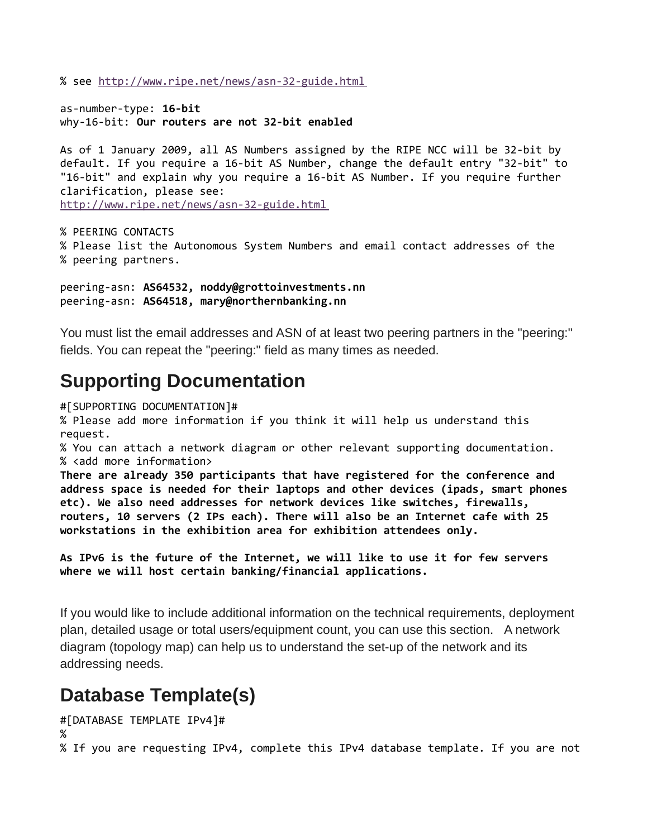% see<http://www.ripe.net/news/asn-32-guide.html>

as-number-type: **16-bit** why-16-bit: **Our routers are not 32-bit enabled**

As of 1 January 2009, all AS Numbers assigned by the RIPE NCC will be 32-bit by default. If you require a 16-bit AS Number, change the default entry "32-bit" to "16-bit" and explain why you require a 16-bit AS Number. If you require further clarification, please see: <http://www.ripe.net/news/asn-32-guide.html>

```
% PEERING CONTACTS
% Please list the Autonomous System Numbers and email contact addresses of the
% peering partners.
```
peering-asn: **AS64532, noddy@grottoinvestments.nn** peering-asn: **AS64518, mary@northernbanking.nn**

You must list the email addresses and ASN of at least two peering partners in the "peering:" fields. You can repeat the "peering:" field as many times as needed.

## **Supporting Documentation**

#[SUPPORTING DOCUMENTATION]# % Please add more information if you think it will help us understand this request. % You can attach a network diagram or other relevant supporting documentation. % <add more information> **There are already 350 participants that have registered for the conference and address space is needed for their laptops and other devices (ipads, smart phones etc). We also need addresses for network devices like switches, firewalls, routers, 10 servers (2 IPs each). There will also be an Internet cafe with 25 workstations in the exhibition area for exhibition attendees only.** 

```
As IPv6 is the future of the Internet, we will like to use it for few servers 
where we will host certain banking/financial applications.
```
If you would like to include additional information on the technical requirements, deployment plan, detailed usage or total users/equipment count, you can use this section. A network diagram (topology map) can help us to understand the set-up of the network and its addressing needs.

# **Database Template(s)**

```
#[DATABASE TEMPLATE IPv4]#
\%% If you are requesting IPv4, complete this IPv4 database template. If you are not
```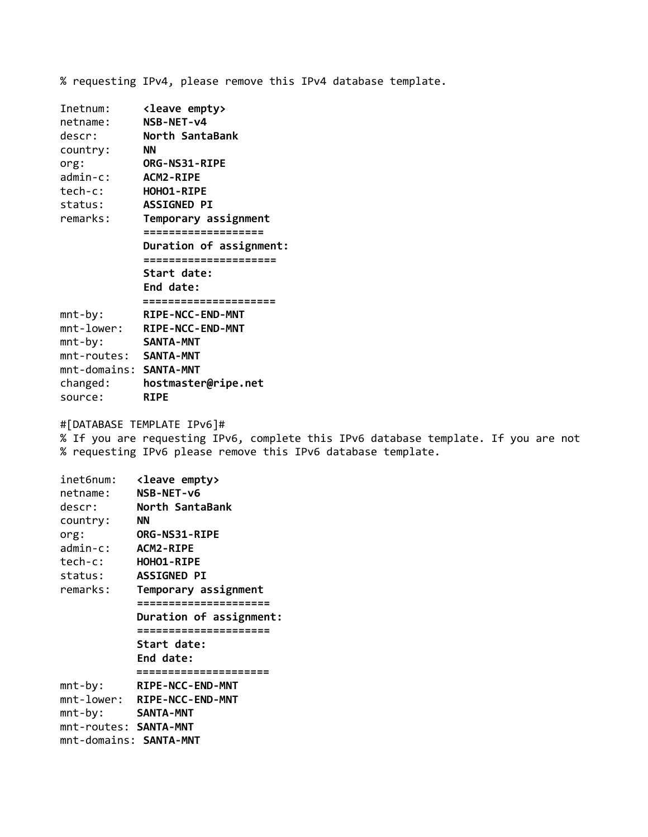% requesting IPv4, please remove this IPv4 database template.

| Inetnum:               | <leave empty=""></leave> |
|------------------------|--------------------------|
| netname:               | NSB-NET-v4               |
| descr:                 | North SantaBank          |
| country:               | <b>NN</b>                |
| org:                   | <b>ORG-NS31-RIPE</b>     |
| $admin-c$ :            | <b>ACM2-RIPE</b>         |
| tech-c:                | HOHO1-RIPE               |
| status:                | <b>ASSIGNED PI</b>       |
| remarks:               | Temporary assignment     |
|                        | ==================       |
|                        | Duration of assignment:  |
|                        | =====================    |
|                        | Start date:              |
|                        | End date:                |
|                        | =====================    |
| $mnt-by:$              | RIPE-NCC-END-MNT         |
| $mnt$ -lower:          | RIPE-NCC-END-MNT         |
| $mnt-by:$              | <b>SANTA-MNT</b>         |
| mnt-routes: SANTA-MNT  |                          |
| mnt-domains: SANTA-MNT |                          |
| changed:               | hostmaster@ripe.net      |
| source:                | <b>RIPE</b>              |

#[DATABASE TEMPLATE IPv6]#

% If you are requesting IPv6, complete this IPv6 database template. If you are not % requesting IPv6 please remove this IPv6 database template.

| inet6num:                     | <leave empty=""></leave>    |
|-------------------------------|-----------------------------|
| netname:                      | NSB-NET-v6                  |
| descr:                        | North SantaBank             |
| country:                      | ΝN                          |
| org:                          | <b>ORG-NS31-RIPE</b>        |
| admin-c:                      | <b>ACM2-RIPE</b>            |
| tech-c:                       | HOHO1-RIPE                  |
| status:                       | <b>ASSIGNED PI</b>          |
| remarks:                      | Temporary assignment        |
|                               | ;====================       |
|                               | Duration of assignment:     |
|                               | =====================       |
|                               | <b>Start date:</b>          |
|                               | End date:                   |
|                               | ;================           |
| $mnt-by:$                     | <b>RIPE-NCC-END-MNT</b>     |
|                               | mnt-lower: RIPE-NCC-END-MNT |
| $mnt-by:$                     | <b>SANTA-MNT</b>            |
| mnt-routes: SANTA-MNT         |                             |
| mnt-domains: <b>SANTA-MNT</b> |                             |
|                               |                             |
|                               |                             |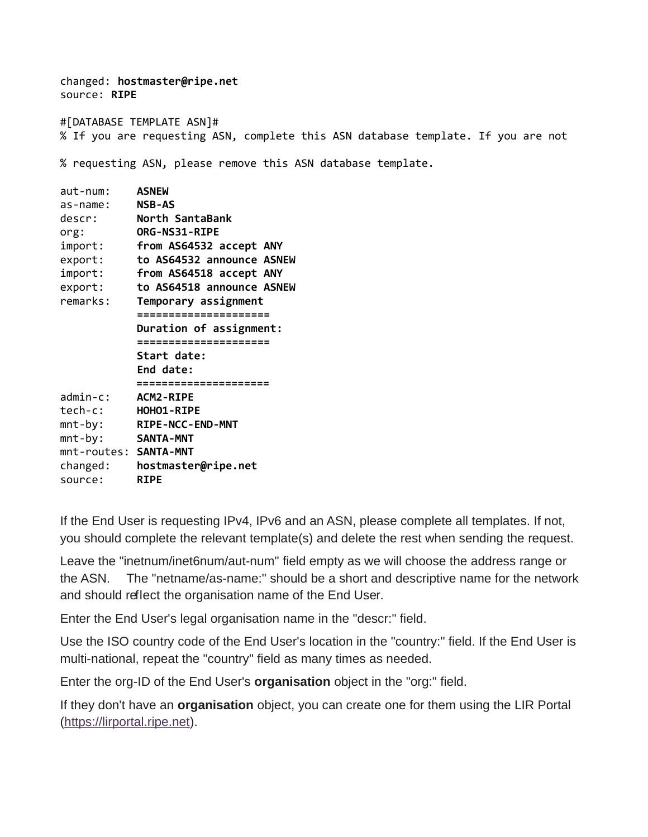changed: **hostmaster@ripe.net** source: **RIPE** #[DATABASE TEMPLATE ASN]# % If you are requesting ASN, complete this ASN database template. If you are not % requesting ASN, please remove this ASN database template. aut-num: **ASNEW** as-name: **NSB-AS** descr: **North SantaBank** org: **ORG-NS31-RIPE** import: **from AS64532 accept ANY** export: **to AS64532 announce ASNEW** import: **from AS64518 accept ANY** export: **to AS64518 announce ASNEW** remarks: **Temporary assignment ===================== Duration of assignment: ===================== Start date: End date: =====================**

admin-c: **ACM2-RIPE** tech-c: **HOHO1-RIPE**

mnt-by: **RIPE-NCC-END-MNT**

mnt-by: **SANTA-MNT** mnt-routes: **SANTA-MNT**

changed: **hostmaster@ripe.net** source: **RIPE**

If the End User is requesting IPv4, IPv6 and an ASN, please complete all templates. If not, you should complete the relevant template(s) and delete the rest when sending the request.

Leave the "inetnum/inet6num/aut-num" field empty as we will choose the address range or the ASN. The "netname/as-name:" should be a short and descriptive name for the network and should reflect the organisation name of the End User.

Enter the End User's legal organisation name in the "descr:" field.

Use the ISO country code of the End User's location in the "country:" field. If the End User is multi-national, repeat the "country" field as many times as needed.

Enter the org-ID of the End User's **organisation** object in the "org:" field.

If they don't have an **organisation** object, you can create one for them using the LIR Portal [\(https://lirportal.ripe.net\)](https://lirportal.ripe.net/).